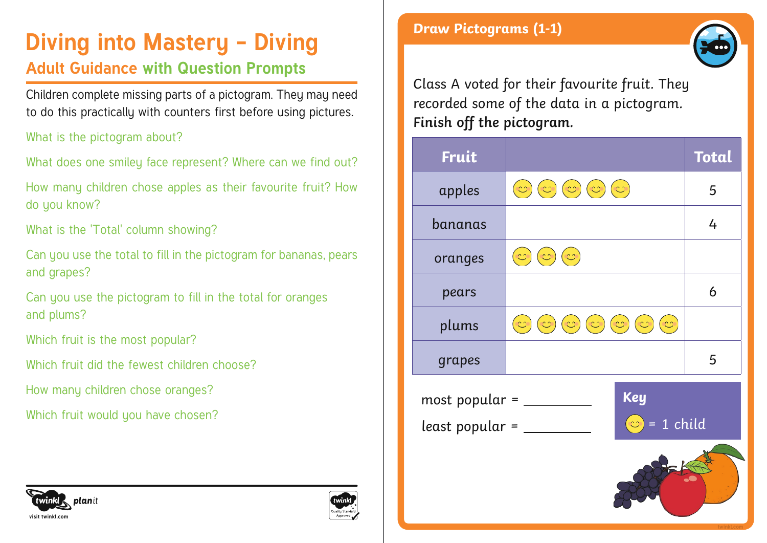## **Diving into Mastery - Diving**

### **Adult Guidance with Question Prompts**

Children complete missing parts of a pictogram. They may need to do this practically with counters first before using pictures.

What is the pictogram about?

What does one smiley face represent? Where can we find out?

How many children chose apples as their favourite fruit? How do you know?

What is the 'Total' column showing?

Can you use the total to fill in the pictogram for bananas, pears and grapes?

Can you use the pictogram to fill in the total for oranges and plums?

Which fruit is the most popular?

Which fruit did the fewest children choose?

How many children chose oranges?

Which fruit would you have chosen?

### **Draw Pictograms (1-1)**



Class A voted for their favourite fruit. They recorded some of the data in a pictogram. **Finish off the pictogram.**

| Fruit                                                                 |                                                                                            | <b>Total</b> |  |  |
|-----------------------------------------------------------------------|--------------------------------------------------------------------------------------------|--------------|--|--|
| apples                                                                | $(\mathbb{C})\left(\mathbb{C}\right)(\mathbb{C})$<br>(z)<br>$\infty)$                      | 5            |  |  |
| bananas                                                               |                                                                                            | 4            |  |  |
| oranges                                                               | $\sim$<br>S<br>n n                                                                         |              |  |  |
| pears                                                                 |                                                                                            | 6            |  |  |
| plums                                                                 | $(\mathbb{C})$<br>$\infty$<br>$\infty$<br>လ<br>$\mathbb{C}$<br>$\mathbb{C}^{\circ}$<br>e e |              |  |  |
| grapes                                                                |                                                                                            | 5            |  |  |
| <b>Key</b><br>most popular =<br>$= 1$ child<br> C <br>least popular = |                                                                                            |              |  |  |
|                                                                       |                                                                                            |              |  |  |



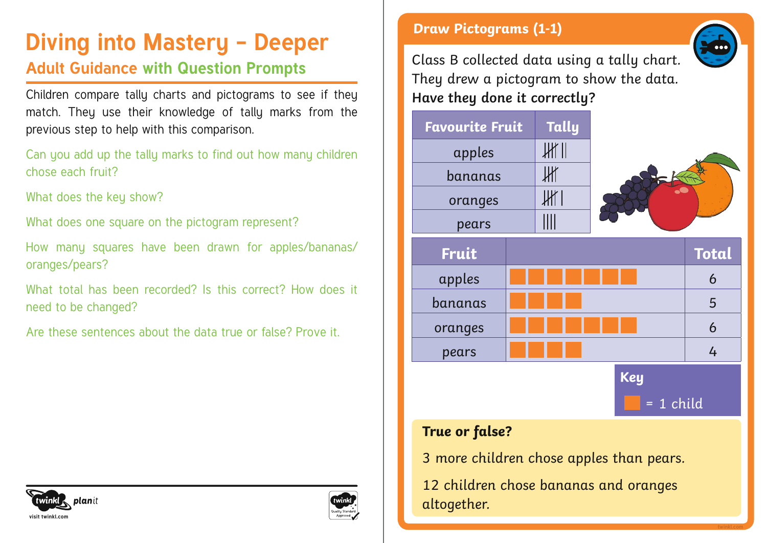# **Diving into Mastery - Deeper** Deeper Diving into Mastery - Deeper

### **Adult Guidance with Question Prompts**

Children compare tally charts and pictograms to see if they match. They use their knowledge of tally marks from the previous step to help with this comparison.

Can you add up the tally marks to find out how many children chose each fruit?

What does the key show?

What does one square on the pictogram represent?

How many squares have been drawn for apples/bananas/ oranges/pears?

What total has been recorded? Is this correct? How does it need to be changed?

Are these sentences about the data true or false? Prove it.

Class B collected data using a tally chart. They drew a pictogram to show the data. **Have they done it correctly?**





### **True or false?**

3 more children chose apples than pears.

12 children chose bananas and oranges altogether.



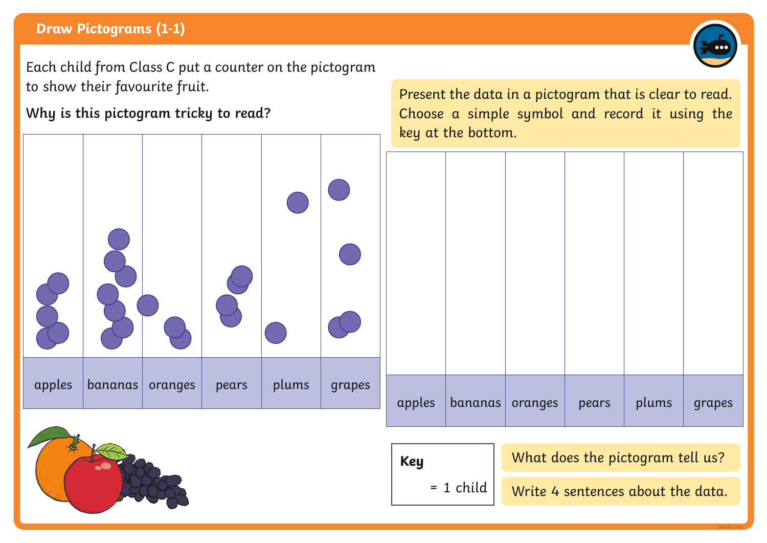### **Draw Pictograms (1-1)**

Each child from Class C put a counter on the pictogram to show their favourite fruit.

**Why is this pictogram tricky to read?**

Present the data in a pictogram that is clear to read. Choose a simple symbol and record it using the key at the bottom.

| apples | bananas   oranges | pears | plums grapes |
|--------|-------------------|-------|--------------|

### **Key**

What does the pictogram tell us?

 $= 1$  child